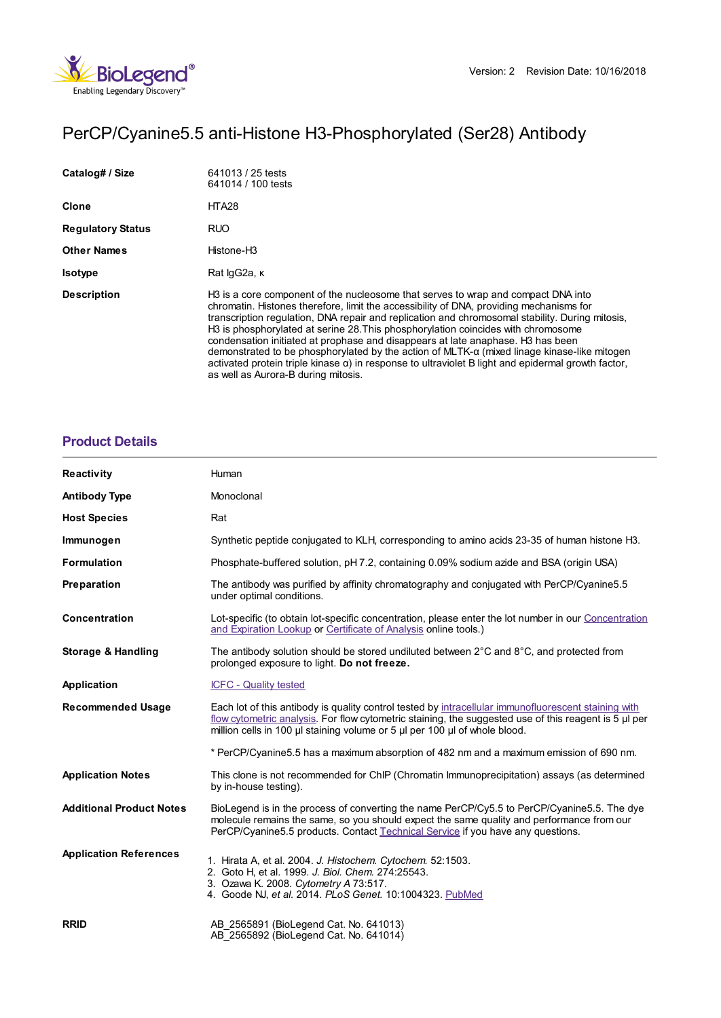

# PerCP/Cyanine5.5 anti-Histone H3-Phosphorylated (Ser28) Antibody

| Catalog# / Size          | 641013 / 25 tests<br>641014 / 100 tests                                                                                                                                                                                                                                                                                                                                                                                                                                                                                                                                                                                                                                                                                         |
|--------------------------|---------------------------------------------------------------------------------------------------------------------------------------------------------------------------------------------------------------------------------------------------------------------------------------------------------------------------------------------------------------------------------------------------------------------------------------------------------------------------------------------------------------------------------------------------------------------------------------------------------------------------------------------------------------------------------------------------------------------------------|
| Clone                    | HTA <sub>28</sub>                                                                                                                                                                                                                                                                                                                                                                                                                                                                                                                                                                                                                                                                                                               |
| <b>Regulatory Status</b> | <b>RUO</b>                                                                                                                                                                                                                                                                                                                                                                                                                                                                                                                                                                                                                                                                                                                      |
| <b>Other Names</b>       | Histone-H3                                                                                                                                                                                                                                                                                                                                                                                                                                                                                                                                                                                                                                                                                                                      |
| <b>Isotype</b>           | Rat lgG2a, K                                                                                                                                                                                                                                                                                                                                                                                                                                                                                                                                                                                                                                                                                                                    |
| <b>Description</b>       | H3 is a core component of the nucleosome that serves to wrap and compact DNA into<br>chromatin. Histones therefore, limit the accessibility of DNA, providing mechanisms for<br>transcription regulation, DNA repair and replication and chromosomal stability. During mitosis,<br>H3 is phosphorylated at serine 28. This phosphorylation coincides with chromosome<br>condensation initiated at prophase and disappears at late anaphase. H <sub>3</sub> has been<br>demonstrated to be phosphorylated by the action of MLTK- $\alpha$ (mixed linage kinase-like mitogen<br>activated protein triple kinase $\alpha$ ) in response to ultraviolet B light and epidermal growth factor,<br>as well as Aurora-B during mitosis. |

# **[Product](https://www.biolegend.com/fr-lu/products/percp-cyanine5-5-anti-histone-h3-phosphorylated-ser28-antibody-12015?pdf=true&displayInline=true&leftRightMargin=15&topBottomMargin=15&filename=PerCP/Cyanine5.5 anti-Histone H3-Phosphorylated (Ser28) Antibody.pdf#productDetails) Details**

| Reactivity                      | Human                                                                                                                                                                                                                                                                                       |
|---------------------------------|---------------------------------------------------------------------------------------------------------------------------------------------------------------------------------------------------------------------------------------------------------------------------------------------|
| <b>Antibody Type</b>            | Monoclonal                                                                                                                                                                                                                                                                                  |
| <b>Host Species</b>             | Rat                                                                                                                                                                                                                                                                                         |
| Immunogen                       | Synthetic peptide conjugated to KLH, corresponding to amino acids 23-35 of human histone H3.                                                                                                                                                                                                |
| <b>Formulation</b>              | Phosphate-buffered solution, pH 7.2, containing 0.09% sodium azide and BSA (origin USA)                                                                                                                                                                                                     |
| Preparation                     | The antibody was purified by affinity chromatography and conjugated with PerCP/Cyanine5.5<br>under optimal conditions.                                                                                                                                                                      |
| Concentration                   | Lot-specific (to obtain lot-specific concentration, please enter the lot number in our Concentration<br>and Expiration Lookup or Certificate of Analysis online tools.)                                                                                                                     |
| Storage & Handling              | The antibody solution should be stored undiluted between $2^{\circ}$ C and $8^{\circ}$ C, and protected from<br>prolonged exposure to light. Do not freeze.                                                                                                                                 |
| Application                     | <b>ICFC - Quality tested</b>                                                                                                                                                                                                                                                                |
| <b>Recommended Usage</b>        | Each lot of this antibody is quality control tested by intracellular immunofluorescent staining with<br>flow cytometric analysis. For flow cytometric staining, the suggested use of this reagent is 5 µl per<br>million cells in 100 µl staining volume or 5 µl per 100 µl of whole blood. |
|                                 | * PerCP/Cyanine5.5 has a maximum absorption of 482 nm and a maximum emission of 690 nm.                                                                                                                                                                                                     |
| <b>Application Notes</b>        | This clone is not recommended for ChIP (Chromatin Immunoprecipitation) assays (as determined<br>by in-house testing).                                                                                                                                                                       |
| <b>Additional Product Notes</b> | BioLegend is in the process of converting the name PerCP/Cy5.5 to PerCP/Cyanine5.5. The dye<br>molecule remains the same, so you should expect the same quality and performance from our<br>PerCP/Cyanine5.5 products. Contact Technical Service if you have any questions.                 |
| <b>Application References</b>   | 1. Hirata A, et al. 2004. J. Histochem. Cytochem. 52:1503.<br>2. Goto H. et al. 1999. J. Biol. Chem. 274:25543.<br>3. Ozawa K. 2008. Cytometry A 73:517.<br>4. Goode NJ, et al. 2014. PLoS Genet. 10:1004323. PubMed                                                                        |
| <b>RRID</b>                     | AB 2565891 (BioLegend Cat. No. 641013)<br>AB 2565892 (BioLegend Cat. No. 641014)                                                                                                                                                                                                            |